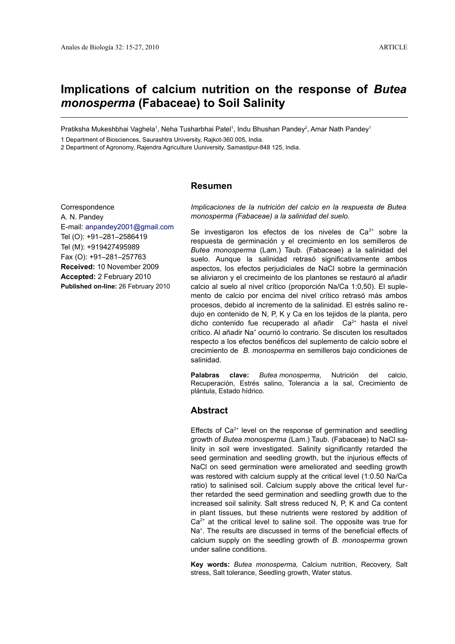# **Implications of calcium nutrition on the response of** *Butea monosperma* **(Fabaceae) to Soil Salinity**

Pratiksha Mukeshbhai Vaghela<sup>1</sup>, Neha Tusharbhai Patel<sup>1</sup>, Indu Bhushan Pandey<sup>2</sup>, Amar Nath Pandey<sup>1</sup>

1 Department of Biosciences, Saurashtra University, Rajkot-360 005, India.

2 Department of Agronomy, Rajendra Agriculture Uuniversity, Samastipur-848 125, India.

## **Resumen**

Correspondence A. N. Pandey E-mail: [anpandey2001@gmail.com](mailto:anpandey2001@gmail.com) Tel (O): +91–281–2586419 Tel (M): +919427495989 Fax (O): +91–281–257763 **Received:** 10 November 2009 **Accepted:** 2 February 2010 **Published on-line:** 26 February 2010

*Implicaciones de la nutrición del calcio en la respuesta de Butea monosperma (Fabaceae) a la salinidad del suelo.*

Se investigaron los efectos de los niveles de Ca $2+$  sobre la respuesta de germinación y el crecimiento en los semilleros de *Butea monosperma* (Lam.) Taub. (Fabaceae) a la salinidad del suelo. Aunque la salinidad retrasó significativamente ambos aspectos, los efectos perjudiciales de NaCl sobre la germinación se aliviaron y el crecimeinto de los plantones se restauró al añadir calcio al suelo al nivel crítico (proporción Na/Ca 1:0,50). El suplemento de calcio por encima del nivel crítico retrasó más ambos procesos, debido al incremento de la salinidad. El estrés salino redujo en contenido de N, P, K y Ca en los tejidos de la planta, pero dicho contenido fue recuperado al añadir  $Ca<sup>2+</sup>$  hasta el nivel crítico. Al añadir Na<sup>+</sup> ocurrió lo contrario. Se discuten los resultados respecto a los efectos benéficos del suplemento de calcio sobre el crecimiento de *B. monosperma* en semilleros bajo condiciones de salinidad.

**Palabras clave:** *Butea monosperma*, Nutrición del calcio, Recuperación, Estrés salino, Tolerancia a la sal, Crecimiento de plántula, Estado hídrico.

# **Abstract**

Effects of  $Ca<sup>2+</sup>$  level on the response of germination and seedling growth of *Butea monosperma* (Lam.) Taub. (Fabaceae) to NaCl salinity in soil were investigated. Salinity significantly retarded the seed germination and seedling growth, but the injurious effects of NaCl on seed germination were ameliorated and seedling growth was restored with calcium supply at the critical level (1:0.50 Na/Ca ratio) to salinised soil. Calcium supply above the critical level further retarded the seed germination and seedling growth due to the increased soil salinity. Salt stress reduced N, P, K and Ca content in plant tissues, but these nutrients were restored by addition of  $Ca<sup>2+</sup>$  at the critical level to saline soil. The opposite was true for Na<sup>+</sup>. The results are discussed in terms of the beneficial effects of calcium supply on the seedling growth of *B. monosperma* grown under saline conditions.

**Key words:** *Butea monosperma,* Calcium nutrition, Recovery, Salt stress, Salt tolerance, Seedling growth, Water status.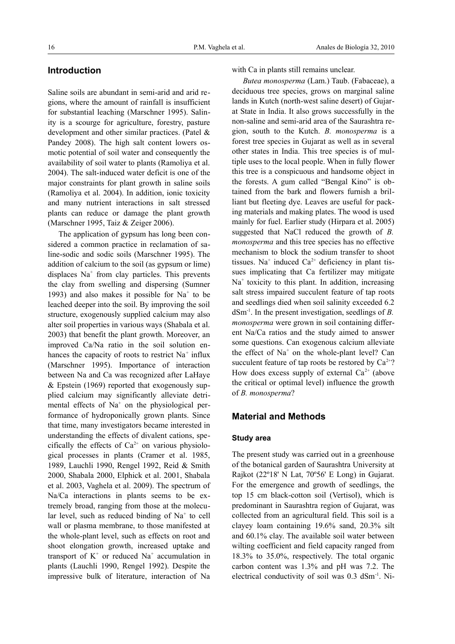# **Introduction**

Saline soils are abundant in semi-arid and arid regions, where the amount of rainfall is insufficient for substantial leaching (Marschner 1995). Salinity is a scourge for agriculture, forestry, pasture development and other similar practices. (Patel & Pandey 2008). The high salt content lowers osmotic potential of soil water and consequently the availability of soil water to plants (Ramoliya et al. 2004). The salt-induced water deficit is one of the major constraints for plant growth in saline soils (Ramoliya et al. 2004). In addition, ionic toxicity and many nutrient interactions in salt stressed plants can reduce or damage the plant growth (Marschner 1995, Taiz & Zeiger 2006).

The application of gypsum has long been considered a common practice in reclamation of saline-sodic and sodic soils (Marschner 1995). The addition of calcium to the soil (as gypsum or lime) displaces Na<sup>+</sup> from clay particles. This prevents the clay from swelling and dispersing (Sumner 1993) and also makes it possible for  $Na<sup>+</sup>$  to be leached deeper into the soil. By improving the soil structure, exogenously supplied calcium may also alter soil properties in various ways (Shabala et al. 2003) that benefit the plant growth. Moreover, an improved Ca/Na ratio in the soil solution enhances the capacity of roots to restrict  $Na<sup>+</sup>$  influx (Marschner 1995). Importance of interaction between Na and Ca was recognized after LaHaye & Epstein (1969) reported that exogenously supplied calcium may significantly alleviate detrimental effects of  $Na<sup>+</sup>$  on the physiological performance of hydroponically grown plants. Since that time, many investigators became interested in understanding the effects of divalent cations, specifically the effects of  $Ca^{2+}$  on various physiological processes in plants (Cramer et al. 1985, 1989, Lauchli 1990, Rengel 1992, Reid & Smith 2000, Shabala 2000, Elphick et al. 2001, Shabala et al. 2003, Vaghela et al. 2009). The spectrum of Na/Ca interactions in plants seems to be extremely broad, ranging from those at the molecular level, such as reduced binding of  $Na<sup>+</sup>$  to cell wall or plasma membrane, to those manifested at the whole-plant level, such as effects on root and shoot elongation growth, increased uptake and transport of  $K^+$  or reduced Na<sup>+</sup> accumulation in plants (Lauchli 1990, Rengel 1992). Despite the impressive bulk of literature, interaction of Na

with Ca in plants still remains unclear.

*Butea monosperma* (Lam.) Taub. (Fabaceae), a deciduous tree species, grows on marginal saline lands in Kutch (north-west saline desert) of Gujarat State in India. It also grows successfully in the non-saline and semi-arid area of the Saurashtra region, south to the Kutch. *B. monosperma* is a forest tree species in Gujarat as well as in several other states in India. This tree species is of multiple uses to the local people. When in fully flower this tree is a conspicuous and handsome object in the forests. A gum called "Bengal Kino" is obtained from the bark and flowers furnish a brilliant but fleeting dye. Leaves are useful for packing materials and making plates. The wood is used mainly for fuel. Earlier study (Hirpara et al. 2005) suggested that NaCl reduced the growth of *B. monosperma* and this tree species has no effective mechanism to block the sodium transfer to shoot tissues. Na<sup>+</sup> induced  $Ca^{2+}$  deficiency in plant tissues implicating that Ca fertilizer may mitigate Na<sup>+</sup> toxicity to this plant. In addition, increasing salt stress impaired succulent feature of tap roots and seedlings died when soil salinity exceeded 6.2 dSm-1. In the present investigation, seedlings of *B. monosperma* were grown in soil containing different Na/Ca ratios and the study aimed to answer some questions. Can exogenous calcium alleviate the effect of Na<sup>+</sup> on the whole-plant level? Can succulent feature of tap roots be restored by  $Ca^{2+}$ ? How does excess supply of external  $Ca^{2+}$  (above the critical or optimal level) influence the growth of *B. monosperma*?

## **Material and Methods**

#### **Study area**

The present study was carried out in a greenhouse of the botanical garden of Saurashtra University at Rajkot (22º18' N Lat, 70º56' E Long) in Gujarat. For the emergence and growth of seedlings, the top 15 cm black-cotton soil (Vertisol), which is predominant in Saurashtra region of Gujarat, was collected from an agricultural field. This soil is a clayey loam containing 19.6% sand, 20.3% silt and 60.1% clay. The available soil water between wilting coefficient and field capacity ranged from 18.3% to 35.0%, respectively. The total organic carbon content was 1.3% and pH was 7.2. The electrical conductivity of soil was 0.3 dSm-1. Ni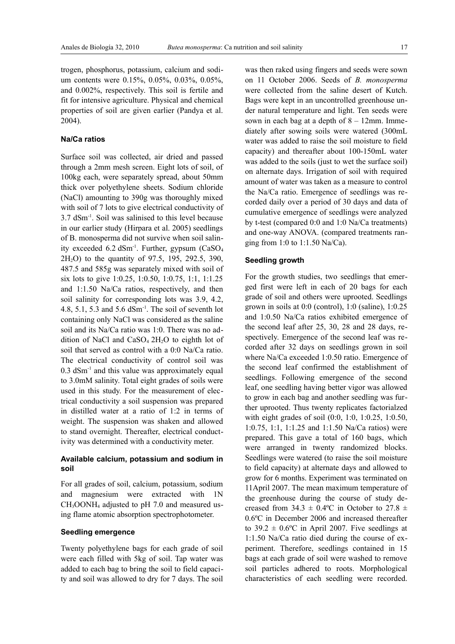trogen, phosphorus, potassium, calcium and sodium contents were 0.15%, 0.05%, 0.03%, 0.05%, and 0.002%, respectively. This soil is fertile and fit for intensive agriculture. Physical and chemical properties of soil are given earlier (Pandya et al. 2004).

## **Na/Ca ratios**

Surface soil was collected, air dried and passed through a 2mm mesh screen. Eight lots of soil, of 100kg each, were separately spread, about 50mm thick over polyethylene sheets. Sodium chloride (NaCl) amounting to 390g was thoroughly mixed with soil of 7 lots to give electrical conductivity of 3.7 dSm-1. Soil was salinised to this level because in our earlier study (Hirpara et al. 2005) seedlings of B. monosperma did not survive when soil salinity exceeded 6.2 dSm<sup>-1</sup>. Further, gypsum (CaSO<sub>4</sub>)  $2H<sub>2</sub>O$ ) to the quantity of 97.5, 195, 292.5, 390, 487.5 and 585g was separately mixed with soil of six lots to give 1:0.25, 1:0.50, 1:0.75, 1:1, 1:1.25 and 1:1.50 Na/Ca ratios, respectively, and then soil salinity for corresponding lots was 3.9, 4.2, 4.8, 5.1, 5.3 and 5.6  $dSm^{-1}$ . The soil of seventh lot containing only NaCl was considered as the saline soil and its Na/Ca ratio was 1:0. There was no addition of NaCl and CaSO4 2H2O to eighth lot of soil that served as control with a 0:0 Na/Ca ratio. The electrical conductivity of control soil was 0.3 dSm-1 and this value was approximately equal to 3.0mM salinity. Total eight grades of soils were used in this study. For the measurement of electrical conductivity a soil suspension was prepared in distilled water at a ratio of 1:2 in terms of weight. The suspension was shaken and allowed to stand overnight. Thereafter, electrical conductivity was determined with a conductivity meter.

## **Available calcium, potassium and sodium in soil**

For all grades of soil, calcium, potassium, sodium and magnesium were extracted with 1N CH3OONH4 adjusted to pH 7.0 and measured using flame atomic absorption spectrophotometer.

## **Seedling emergence**

Twenty polyethylene bags for each grade of soil were each filled with 5kg of soil. Tap water was added to each bag to bring the soil to field capacity and soil was allowed to dry for 7 days. The soil was then raked using fingers and seeds were sown on 11 October 2006. Seeds of *B. monosperma* were collected from the saline desert of Kutch. Bags were kept in an uncontrolled greenhouse under natural temperature and light. Ten seeds were sown in each bag at a depth of  $8 - 12$ mm. Immediately after sowing soils were watered (300mL water was added to raise the soil moisture to field capacity) and thereafter about 100-150mL water was added to the soils (just to wet the surface soil) on alternate days. Irrigation of soil with required amount of water was taken as a measure to control the Na/Ca ratio. Emergence of seedlings was recorded daily over a period of 30 days and data of cumulative emergence of seedlings were analyzed by t-test (compared 0:0 and 1:0 Na/Ca treatments) and one-way ANOVA. (compared treatments ranging from 1:0 to 1:1.50 Na/Ca).

#### **Seedling growth**

For the growth studies, two seedlings that emerged first were left in each of 20 bags for each grade of soil and others were uprooted. Seedlings grown in soils at  $0.0$  (control),  $1:0$  (saline),  $1:0.25$ and 1:0.50 Na/Ca ratios exhibited emergence of the second leaf after 25, 30, 28 and 28 days, respectively. Emergence of the second leaf was recorded after 32 days on seedlings grown in soil where Na/Ca exceeded 1:0.50 ratio. Emergence of the second leaf confirmed the establishment of seedlings. Following emergence of the second leaf, one seedling having better vigor was allowed to grow in each bag and another seedling was further uprooted. Thus twenty replicates factorialzed with eight grades of soil (0:0, 1:0, 1:0.25, 1:0.50, 1:0.75, 1:1, 1:1.25 and 1:1.50 Na/Ca ratios) were prepared. This gave a total of 160 bags, which were arranged in twenty randomized blocks. Seedlings were watered (to raise the soil moisture to field capacity) at alternate days and allowed to grow for 6 months. Experiment was terminated on 11April 2007. The mean maximum temperature of the greenhouse during the course of study decreased from  $34.3 \pm 0.4$ °C in October to  $27.8 \pm 0.4$ °C 0.6ºC in December 2006 and increased thereafter to  $39.2 \pm 0.6$ °C in April 2007. Five seedlings at 1:1.50 Na/Ca ratio died during the course of experiment. Therefore, seedlings contained in 15 bags at each grade of soil were washed to remove soil particles adhered to roots. Morphological characteristics of each seedling were recorded.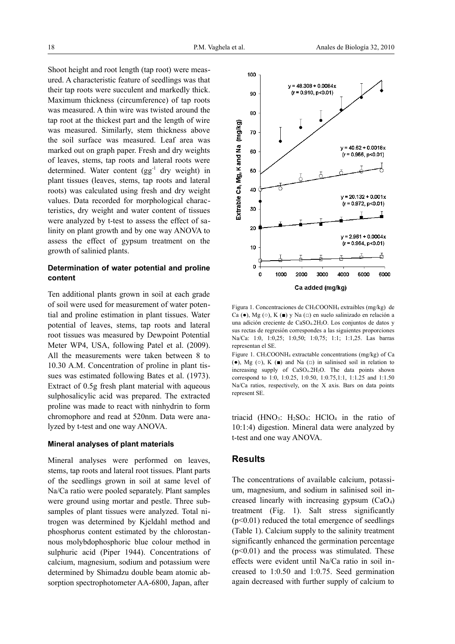Shoot height and root length (tap root) were measured. A characteristic feature of seedlings was that their tap roots were succulent and markedly thick. Maximum thickness (circumference) of tap roots was measured. A thin wire was twisted around the tap root at the thickest part and the length of wire was measured. Similarly, stem thickness above the soil surface was measured. Leaf area was marked out on graph paper. Fresh and dry weights of leaves, stems, tap roots and lateral roots were determined. Water content  $(gg^{-1}$  dry weight) in plant tissues (leaves, stems, tap roots and lateral roots) was calculated using fresh and dry weight values. Data recorded for morphological characteristics, dry weight and water content of tissues were analyzed by t-test to assess the effect of salinity on plant growth and by one way ANOVA to assess the effect of gypsum treatment on the growth of salinied plants.

## **Determination of water potential and proline content**

Ten additional plants grown in soil at each grade of soil were used for measurement of water potential and proline estimation in plant tissues. Water potential of leaves, stems, tap roots and lateral root tissues was measured by Dewpoint Potential Meter WP4, USA, following Patel et al. (2009). All the measurements were taken between 8 to 10.30 A.M. Concentration of proline in plant tissues was estimated following Bates et al. (1973). Extract of 0.5g fresh plant material with aqueous sulphosalicylic acid was prepared. The extracted proline was made to react with ninhydrin to form chromophore and read at 520nm. Data were analyzed by t-test and one way ANOVA.

#### **Mineral analyses of plant materials**

Mineral analyses were performed on leaves, stems, tap roots and lateral root tissues. Plant parts of the seedlings grown in soil at same level of Na/Ca ratio were pooled separately. Plant samples were ground using mortar and pestle. Three subsamples of plant tissues were analyzed. Total nitrogen was determined by Kjeldahl method and phosphorus content estimated by the chlorostannous molybdophosphoric blue colour method in sulphuric acid (Piper 1944). Concentrations of calcium, magnesium, sodium and potassium were determined by Shimadzu double beam atomic absorption spectrophotometer AA-6800, Japan, after



Figura 1. Concentraciones de CH3COONH4 extraibles (mg/kg) de Ca (●), Mg (○), K (■) y Na (□) en suelo salinizado en relación a una adición creciente de CaSO<sub>4</sub>.2H<sub>2</sub>O. Los conjuntos de datos y sus rectas de regresión correspondes a las siguientes proporciones Na/Ca: 1:0, 1:0,25; 1:0,50; 1:0,75; 1:1; 1:1,25. Las barras representan el SE.

Figure 1. CH3COONH4 extractable concentrations (mg/kg) of Ca ( $\bullet$ ), Mg ( $\circ$ ), K ( $\bullet$ ) and Na ( $\Box$ ) in salinised soil in relation to increasing supply of CaSO4.2H2O. The data points shown correspond to 1:0, 1:0.25, 1:0.50, 1:0.75,1:1, 1:1.25 and 1:1.50 Na/Ca ratios, respectively, on the X axis. Bars on data points represent SE.

triacid (HNO<sub>3</sub>: H<sub>2</sub>SO<sub>4</sub>: HClO<sub>4</sub> in the ratio of 10:1:4) digestion. Mineral data were analyzed by t-test and one way ANOVA.

## **Results**

The concentrations of available calcium, potassium, magnesium, and sodium in salinised soil increased linearly with increasing gypsum  $(CaO<sub>4</sub>)$ treatment (Fig. 1). Salt stress significantly  $(p<0.01)$  reduced the total emergence of seedlings (Table 1). Calcium supply to the salinity treatment significantly enhanced the germination percentage  $(p<0.01)$  and the process was stimulated. These effects were evident until Na/Ca ratio in soil increased to 1:0.50 and 1:0.75. Seed germination again decreased with further supply of calcium to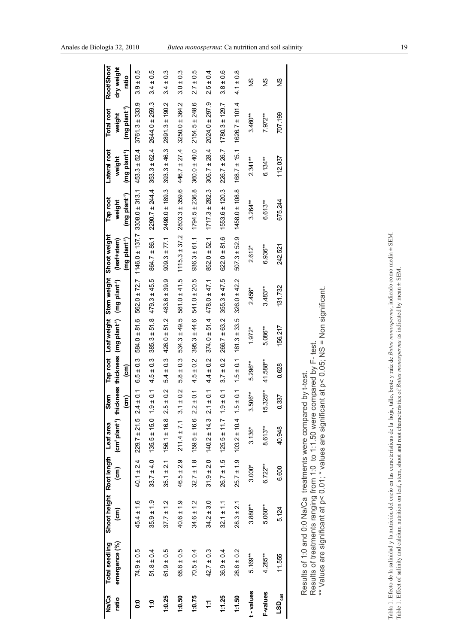| Na/Ca<br>ratio              | emergence (%)<br>Total seedling                                                                                                                                                                                                                    | Shoot height Root length Leaf area<br>$\widehat{\epsilon}$ | (cm            | (cm <sup>2</sup> plant <sup>-1</sup> ) thickness thickness | Stem                      |                      | Tap root Leaf weight Stem weight<br>(mg plant <sup>1</sup> ) | (mg plant <sup>-1</sup> ) | Shoot weight<br>(leaf+stem) | Tap root<br>weight                             | Lateral root<br>weight    | <b>Total root</b><br>weight | Root/Shoot<br>dry weight   |
|-----------------------------|----------------------------------------------------------------------------------------------------------------------------------------------------------------------------------------------------------------------------------------------------|------------------------------------------------------------|----------------|------------------------------------------------------------|---------------------------|----------------------|--------------------------------------------------------------|---------------------------|-----------------------------|------------------------------------------------|---------------------------|-----------------------------|----------------------------|
|                             |                                                                                                                                                                                                                                                    |                                                            |                |                                                            | $\widehat{(\mathsf{cm})}$ | $\widehat{\epsilon}$ |                                                              |                           | (mg plant <sup>-1</sup> )   | (mg plant <sup>1</sup> )                       | (mg plant <sup>-1</sup> ) | (mg plant <sup>-1</sup> )   | ratio                      |
| <b>0:0</b>                  | $74.9 \pm 0.5$                                                                                                                                                                                                                                     | $45.4 \pm 1.6$                                             | $40.1 \pm 2.4$ | $229.7 \pm 21.5$                                           | $\pm 0.1$<br>$^{2.4}$     | $6.5 \pm 0.3$        | $584.0 + 81.6$                                               |                           |                             | $562.0 \pm 72.7$ 1146.0 ± 137.7 3308.0 ± 313.1 | $453.3 \pm 52.4$          | $3761.3 \pm 333.9$          | $3.9 \pm 0.5$              |
| $\ddot{ }$ :0               | $51.8 \pm 0.4$                                                                                                                                                                                                                                     | $35.9 \pm 1.9$                                             | $33.7 \pm 4.0$ | $135.5 \pm 15.0$ 1.9                                       | $\pm 0.1$                 | $4.5 \pm 0.3$        | $385.3 \pm 51.8$                                             | $479.3 \pm 45.5$          | $864.7 \pm 86.1$            | $2290.7 \pm 244.4$                             | $353.3 \pm 62.4$          | $2644.0 \pm 259.3$          | $3.4 \pm 0.5$              |
| 1:0.25                      | $61.9 \pm 0.5$                                                                                                                                                                                                                                     | $37.7 \pm 1.2$                                             | $35.1 \pm 2.1$ | $156.1 \pm 16.8$                                           | ± 0.2<br>2.5              | $\pm 0.3$<br>54      | $426.0 \pm 51.2$                                             | $483.6 \pm 39.9$          | $909.3 \pm 77.1$            | 2498.0 ± 189.3                                 | $393.3 \pm 46.3$          | $2891.3 \pm 190.2$          | $\pm 0.3$<br>3.4           |
| 1:0.50                      | $68.8 \pm 0.5$                                                                                                                                                                                                                                     | $40.6 \pm 1.9$                                             | $46.5 \pm 2.9$ | $211.4 \pm 7.1$                                            | ± 0.2<br>$\overline{3}$ . | ± 0.3<br>5.8         | $534.3 \pm 49.5$                                             | $581.0 \pm 41.5$          | $1115.3 \pm 37.2$           | $2803.3 \pm 359.6$                             | $446.7 \pm 27.4$          | 3250.0 ± 364.2              | $\frac{3}{2}$<br>$3.0 \pm$ |
| 1:0.75                      | $70.5 \pm 0.4$                                                                                                                                                                                                                                     | $34.6 \pm 1.2$                                             | $32.7 \pm 1.8$ | $159.5 \pm 16.6$                                           | ± 0.1<br>2.2              | $4.5 \pm 0.2$        | $395.3 \pm 44.6$                                             | $541.0 \pm 20.5$          | $936.3 \pm 61.1$            | $1794.5 \pm 236.8$                             | $360.0 \pm 40.0$          | $2154.5 \pm 248.6$          | $2.7 \pm 0.5$              |
| Ξ                           | $42.7 \pm 0.3$                                                                                                                                                                                                                                     | $34.2 \pm 3.0$                                             | $31.9 \pm 2.0$ | $140.2 \pm 14.3$                                           | ± 0.1<br>$\overline{21}$  | $4.4 \pm 0.2$        | $374.0 \pm 51.4$                                             | $478.0 \pm 47.1$          | $852.0 \pm 52.1$            | $1717.3 \pm 282.3$                             | $306.7 \pm 28.4$          | $2024.0 \pm 297.9$          | $2.5 \pm 0.4$              |
| 1:1.25                      | $36.9 \pm 0.4$                                                                                                                                                                                                                                     | $32.1 \pm 1.1$                                             | $26.7 \pm 1.5$ | $125.5 \pm 11.7$ 1.9                                       | $\frac{1}{2}$             | $3.7 \pm 0.2$        | $266.7 \pm 63.2$                                             | $355.3 \pm 47.5$          | $622.0 \pm 81.6$            | $1553.6 \pm 120.3$                             | $226.7 \pm 26.7$          | $1780.3 \pm 129.7$          | $3.8 \pm 0.6$              |
| 1:1.50                      | $28.8 \pm 0.2$                                                                                                                                                                                                                                     | $28.3 \pm 2.1$                                             | $25.7 \pm 1.9$ | $103.2 \pm 10.4$                                           | ± 0.1<br>$\frac{1}{2}$    | $1.5 \pm 0.1$        | $181.3 \pm 33.5$                                             | $326.0 \pm 42.2$          | $507.3 \pm 52.9$            | $1458.0 \pm 108.8$                             | $168.7 \pm 15.1$          | $1626.7 \pm 101.4$          | $4.1 \pm 0.8$              |
| t-values                    | $5.169***$                                                                                                                                                                                                                                         | 3.880**                                                    | $3.000*$       | $3.136*$                                                   | $3.506***$                | $5.296***$           | 1.972*                                                       | 2.456*                    | $2.612*$                    | $3.264**$                                      | $2.341**$                 | $3.460***$                  | 9S                         |
| <b>F-values</b>             | $4.285***$                                                                                                                                                                                                                                         | $5.060**$                                                  | $6.722**$      | $8.613**$                                                  | 325**<br>$\frac{15}{2}$   | 41.588***            | 5.086**                                                      | $3.483**$                 | $6.936**$                   | $6.613**$                                      | $6.134***$                | $7.972**$                   | SZ                         |
| $\mathsf{LSD}_\mathsf{obs}$ | 11.555                                                                                                                                                                                                                                             | 5.124                                                      | 6.600          | 40.948                                                     | 337<br>$\ddot{\circ}$     | 0.628                | 156.217                                                      | 131.732                   | 242.521                     | 675.244                                        | 112.037                   | 707.199                     | SZ                         |
|                             | ** Values are significant at p< 0.01; * values are significant at p< 0.05; NS = Non significant.<br>Results of treatments ranging from 1:0 to 1:1.50 were compared by F- test.<br>Results of 1:0 and 0:0 Na/Ca treatments were compared by t-test. |                                                            |                |                                                            |                           |                      |                                                              |                           |                             |                                                |                           |                             |                            |
|                             |                                                                                                                                                                                                                                                    |                                                            |                |                                                            |                           |                      |                                                              |                           |                             |                                                |                           |                             |                            |
|                             | Tabla 1. Efecto de la salinidad y la nutrición del cacio en las características de la hoja, tallo, brote y raíz de Butea monosperma, indicado como media ± SEM.                                                                                    |                                                            |                |                                                            |                           |                      |                                                              |                           |                             |                                                |                           |                             |                            |
|                             | Table 1. Effect of salinity and calcium nutrition on leaf, stem, shoot and root characteristics of Butea monosperma as indicated by mean ± SEM                                                                                                     |                                                            |                |                                                            |                           |                      |                                                              |                           |                             |                                                |                           |                             |                            |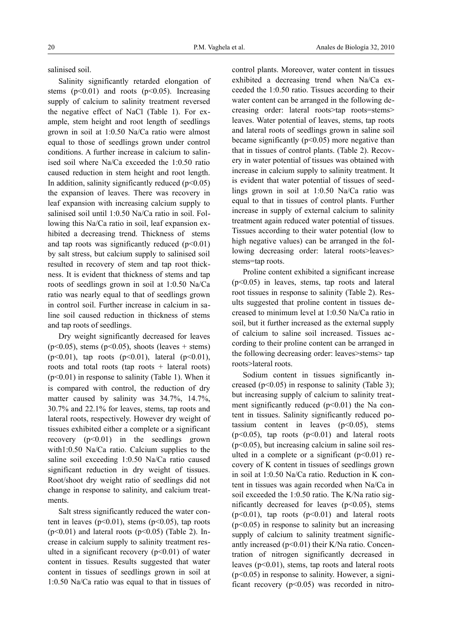salinised soil.

Salinity significantly retarded elongation of stems  $(p<0.01)$  and roots  $(p<0.05)$ . Increasing supply of calcium to salinity treatment reversed the negative effect of NaCl (Table 1). For example, stem height and root length of seedlings grown in soil at 1:0.50 Na/Ca ratio were almost equal to those of seedlings grown under control conditions. A further increase in calcium to salinised soil where Na/Ca exceeded the 1:0.50 ratio caused reduction in stem height and root length. In addition, salinity significantly reduced  $(p<0.05)$ the expansion of leaves. There was recovery in leaf expansion with increasing calcium supply to salinised soil until 1:0.50 Na/Ca ratio in soil. Following this Na/Ca ratio in soil, leaf expansion exhibited a decreasing trend. Thickness of stems and tap roots was significantly reduced  $(p<0.01)$ by salt stress, but calcium supply to salinised soil resulted in recovery of stem and tap root thickness. It is evident that thickness of stems and tap roots of seedlings grown in soil at 1:0.50 Na/Ca ratio was nearly equal to that of seedlings grown in control soil. Further increase in calcium in saline soil caused reduction in thickness of stems and tap roots of seedlings.

Dry weight significantly decreased for leaves  $(p<0.05)$ , stems  $(p<0.05)$ , shoots (leaves + stems) (p<0.01), tap roots (p<0.01), lateral (p<0.01), roots and total roots (tap roots  $+$  lateral roots)  $(p<0.01)$  in response to salinity (Table 1). When it is compared with control, the reduction of dry matter caused by salinity was 34.7%, 14.7%, 30.7% and 22.1% for leaves, stems, tap roots and lateral roots, respectively. However dry weight of tissues exhibited either a complete or a significant recovery  $(p<0.01)$  in the seedlings grown with1:0.50 Na/Ca ratio. Calcium supplies to the saline soil exceeding 1:0.50 Na/Ca ratio caused significant reduction in dry weight of tissues. Root/shoot dry weight ratio of seedlings did not change in response to salinity, and calcium treatments.

Salt stress significantly reduced the water content in leaves  $(p<0.01)$ , stems  $(p<0.05)$ , tap roots  $(p<0.01)$  and lateral roots  $(p<0.05)$  (Table 2). Increase in calcium supply to salinity treatment resulted in a significant recovery  $(p<0.01)$  of water content in tissues. Results suggested that water content in tissues of seedlings grown in soil at 1:0.50 Na/Ca ratio was equal to that in tissues of

control plants. Moreover, water content in tissues exhibited a decreasing trend when Na/Ca exceeded the 1:0.50 ratio. Tissues according to their water content can be arranged in the following decreasing order: lateral roots>tap roots=stems> leaves. Water potential of leaves, stems, tap roots and lateral roots of seedlings grown in saline soil became significantly  $(p<0.05)$  more negative than that in tissues of control plants. (Table 2). Recovery in water potential of tissues was obtained with increase in calcium supply to salinity treatment. It is evident that water potential of tissues of seedlings grown in soil at 1:0.50 Na/Ca ratio was equal to that in tissues of control plants. Further increase in supply of external calcium to salinity treatment again reduced water potential of tissues. Tissues according to their water potential (low to high negative values) can be arranged in the following decreasing order: lateral roots>leaves> stems=tap roots.

Proline content exhibited a significant increase (p<0.05) in leaves, stems, tap roots and lateral root tissues in response to salinity (Table 2). Results suggested that proline content in tissues decreased to minimum level at 1:0.50 Na/Ca ratio in soil, but it further increased as the external supply of calcium to saline soil increased. Tissues according to their proline content can be arranged in the following decreasing order: leaves>stems> tap roots>lateral roots.

Sodium content in tissues significantly increased ( $p<0.05$ ) in response to salinity (Table 3); but increasing supply of calcium to salinity treatment significantly reduced  $(p<0.01)$  the Na content in tissues. Salinity significantly reduced potassium content in leaves  $(p<0.05)$ , stems  $(p<0.05)$ , tap roots  $(p<0.01)$  and lateral roots (p<0.05), but increasing calcium in saline soil resulted in a complete or a significant  $(p<0.01)$  recovery of K content in tissues of seedlings grown in soil at 1:0.50 Na/Ca ratio. Reduction in K content in tissues was again recorded when Na/Ca in soil exceeded the 1:0.50 ratio. The K/Na ratio significantly decreased for leaves  $(p<0.05)$ , stems  $(p<0.01)$ , tap roots  $(p<0.01)$  and lateral roots  $(p<0.05)$  in response to salinity but an increasing supply of calcium to salinity treatment significantly increased  $(p<0.01)$  their K/Na ratio. Concentration of nitrogen significantly decreased in leaves  $(p<0.01)$ , stems, tap roots and lateral roots (p<0.05) in response to salinity. However, a significant recovery  $(p<0.05)$  was recorded in nitro-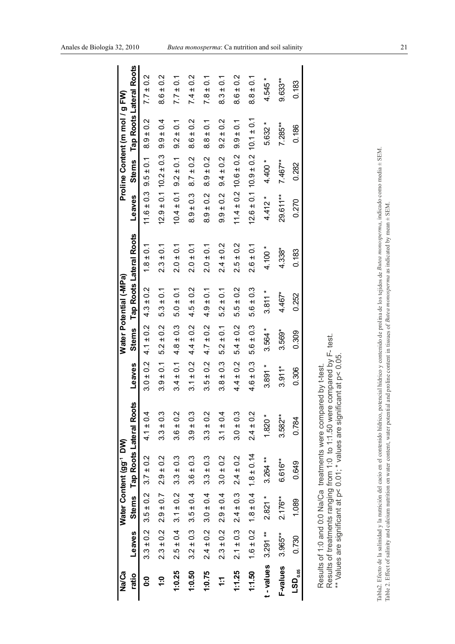| Na/Ca                     |               |                             | Water Content (gg <sup>-1</sup> DW)        |                               |               |               | Water Potential (-MPa) |                         |                               |                | Proline Content (m mol / g FW) |                               |
|---------------------------|---------------|-----------------------------|--------------------------------------------|-------------------------------|---------------|---------------|------------------------|-------------------------|-------------------------------|----------------|--------------------------------|-------------------------------|
| ratio                     | Leaves        |                             |                                            | Stems Tap Roots Lateral Roots | Leaves        | <b>Stems</b>  |                        | Tap Roots Lateral Roots | Leaves                        |                |                                | Stems Tap Roots Lateral Roots |
| ္ပ                        | $3.3 \pm 0.2$ | $3.5 \pm 0.2$               | $3.7 \pm 0.2$                              | $4.1 \pm 0.4$                 | $3.0 \pm 0.2$ | $4.1 \pm 0.2$ | $4.3 \pm 0.2$          | $1.8 \pm 0.1$           | $11.6 \pm 0.3$                | $9.5 \pm 0.1$  | $8.9 \pm 0.2$                  | $7.7 \pm 0.2$                 |
| ٥                         | $2.3 \pm 0.2$ | $2.9 \pm 0.7$               | $2.9 \pm 0.2$                              | $3.3 \pm 0.3$                 | $3.9 \pm 0.1$ | $5.2 \pm 0.2$ | $5.3 \pm 0.1$          | $2.3 \pm 0.1$           | $12.9 \pm 0.1$                | $10.2 \pm 0.3$ | $9.9 \pm 0.4$                  | $8.6 \pm 0.2$                 |
| 1:0.25                    | $2.5 \pm 0.4$ | $3.1 \pm 0.2$               | $3.3 \pm 0.3$                              | $3.6 \pm 0.2$                 | $3.4 \pm 0.1$ | $4.8 \pm 0.3$ | $5.0 \pm 0.1$          | $2.0 \pm 0.1$           | $10.4 \pm 0.1$                | $9.2 \pm 0.1$  | $9.2 \pm 0.1$                  | $7.7 \pm 0.1$                 |
| 1:0.50                    | $3.2 \pm 0.3$ | $3.5 \pm 0.4$               | $3.6 \pm 0.3$                              | $3.9 \pm 0.3$                 | $3.1 \pm 0.2$ | $4.4 \pm 0.2$ | $4.5 \pm 0.2$          | $2.0 \pm 0.1$           | $8.9 \pm 0.3$                 | $8.7 \pm 0.2$  | ±0.2<br><br>စ                  | $7.4 \pm 0.2$                 |
| 1:0.75                    | $2.4 \pm 0.2$ | $3.0 \pm 0.4$               | $3.3 \pm 0.3$                              | $3.3 \pm 0.2$                 | $3.5 \pm 0.2$ | $4.7 \pm 0.2$ | $4.9 \pm 0.1$          | $2.0 \pm 0.1$           | $8.9 \pm 0.2$                 | $8.9 \pm 0.2$  | $8.8 \pm 0.1$                  | $7.8 \pm 0.1$                 |
| Ϊ÷                        | $2.3 \pm 0.2$ | $2.9 \pm 0.4$               | $3.0 \pm 0.2$                              | $3.1 \pm 0.4$                 | $3.8 \pm 0.3$ | $5.2 \pm 0.1$ | $5.2 \pm 0.1$          | $2.4 \pm 0.2$           | $9.9 \pm 0.2$                 | $9.4 \pm 0.2$  | $9.2 \pm 0.2$                  | $8.3 \pm 0.1$                 |
| 1:1.25                    |               | $2.1 \pm 0.3$ $2.4 \pm 0.3$ | $2.4 \pm 0.2$                              | $3.0 \pm 0.3$                 | $4.4 \pm 0.2$ | $5.4 \pm 0.2$ | $5.5 \pm 0.2$          | $2.5 \pm 0.2$           | $11.4 \pm 0.2$ $10.6 \pm 0.2$ |                | $9.9 \pm 0.1$                  | $8.6 \pm 0.2$                 |
| 1:1.50                    |               |                             | $1.6 \pm 0.2$ $1.8 \pm 0.4$ $1.8 \pm 0.14$ | $2.4 \pm 0.2$                 | $4.6 \pm 0.3$ | $5.6 \pm 0.3$ | $5.6 \pm 0.3$          | $2.6 \pm 0.1$           | $12.6 \pm 0.1$ $10.9 \pm 0.2$ |                | $10.1 \pm 0.1$                 | $8.8 \pm 0.1$                 |
| senjev-                   | $3.291***$    | $2.821*$                    | $3.264**$                                  | $1.820*$                      | $3.891*$      | $3.564 *$     | $3.811 *$              | $4.100*$                | $4.412 *$                     | $4.400*$       | 5.632 *                        | 4.545 *                       |
| <b>F-values</b>           | 3.965**       | $2.176**$                   | 6.616**                                    | $3.582**$                     | $3.911*$      | $3.569*$      | $4.467*$               | $4.338*$                | 29.611**                      | $7.467**$      | $7.285**$                      | 9.633**                       |
| $\mathsf{LSD}_\text{obs}$ | 0.730         | 1.089                       | 0.649                                      | 0.784                         | 0.306         | 0.309         | 0.252                  | 0.183                   | 0.270                         | 0.282          | 0.186                          | 0.183                         |
|                           |               |                             |                                            |                               |               |               |                        |                         |                               |                |                                |                               |

| $\ddot{\phantom{a}}$                                                                                                          |
|-------------------------------------------------------------------------------------------------------------------------------|
|                                                                                                                               |
|                                                                                                                               |
|                                                                                                                               |
|                                                                                                                               |
|                                                                                                                               |
|                                                                                                                               |
|                                                                                                                               |
|                                                                                                                               |
|                                                                                                                               |
|                                                                                                                               |
|                                                                                                                               |
|                                                                                                                               |
|                                                                                                                               |
|                                                                                                                               |
|                                                                                                                               |
|                                                                                                                               |
|                                                                                                                               |
|                                                                                                                               |
|                                                                                                                               |
|                                                                                                                               |
|                                                                                                                               |
|                                                                                                                               |
| しゅうしゅ しゅうしゅ しゅうしゅう しゅうしゅん かいしゅう しゅうしゅう しゅうしゅう しゅうしゅう                                                                          |
|                                                                                                                               |
|                                                                                                                               |
|                                                                                                                               |
|                                                                                                                               |
|                                                                                                                               |
|                                                                                                                               |
|                                                                                                                               |
|                                                                                                                               |
|                                                                                                                               |
|                                                                                                                               |
|                                                                                                                               |
|                                                                                                                               |
|                                                                                                                               |
| $\frac{1}{2}$ , $\frac{1}{2}$ , $\frac{1}{2}$ , $\frac{1}{2}$ , $\frac{1}{2}$ , $\frac{1}{2}$ , $\frac{1}{2}$ , $\frac{1}{2}$ |
|                                                                                                                               |
|                                                                                                                               |
|                                                                                                                               |
|                                                                                                                               |
|                                                                                                                               |
|                                                                                                                               |
|                                                                                                                               |
|                                                                                                                               |
|                                                                                                                               |
|                                                                                                                               |
|                                                                                                                               |
|                                                                                                                               |
|                                                                                                                               |
|                                                                                                                               |
|                                                                                                                               |
|                                                                                                                               |
|                                                                                                                               |
| $\frac{1}{1}$                                                                                                                 |
|                                                                                                                               |
|                                                                                                                               |
|                                                                                                                               |
| $\frac{1}{2}$                                                                                                                 |
|                                                                                                                               |
|                                                                                                                               |
|                                                                                                                               |

Results of 1:0 and 0:0 Na/Ca treatments were compared by t-test.

Results of 1:0 and 0:0 Na/Ca treatments were compared by t-test.

Results of treatments ranging from 1:0 to 1:1.50 were compared by F- test.<br>\*\* Volues are significant at ez 0.01\* volues are significant at ez 0.05 \*\* Values are significant at p< 0.01; \* values are significant at p< 0.05.

Results of treatments ranging from 1:0 to 1:1.50 were compared by F- test.<br>\*\* Values are significant at p< 0.01; \* values are significant at p< 0.05.

Tabla2. Efecto de la salinidad y la nutrición del cacio en el contenido hídrico, potencial hídrico y contenido de prolina de los tejidos de *Butea monosperma,* indicado como media ± SEM.<br>Table 2. Effect of salinity and cal Tabla2. Efecto de la salinidad y la nutrición del cacio en el contenido hídrico, potencial hídrico y contenido de prolina de los tejidos de *Butea monosperma*, indicado como media ± SEM. Table 2. Effect of salinity and calcium nutrition on water content, water potential and proline content in tissues of *Butea monosperma* as indicated by mean ± SEM.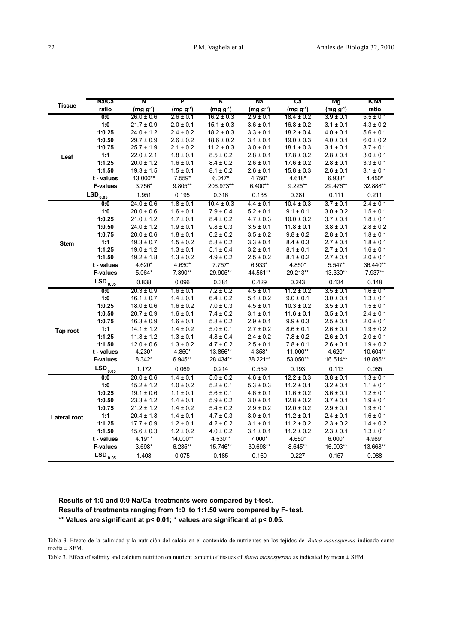|               | Na/Ca               | N                                | P                              | κ                              | Na                             | ca                               | Mg                             | <b>K/Na</b>                    |
|---------------|---------------------|----------------------------------|--------------------------------|--------------------------------|--------------------------------|----------------------------------|--------------------------------|--------------------------------|
| <b>Tissue</b> | ratio               | $(mg g^{-1})$                    | $(mg g^{-1})$                  | $(mg g^{-1})$                  | $(mg g^{-1})$                  | $(mg g^{-1})$                    | $(mg g^{-1})$                  | ratio                          |
|               | $\overline{0:0}$    | $26.0 \pm 0.6$                   | $2.6 \pm 0.1$                  | $16.2 \pm 0.3$                 | $2.9 \pm 0.1$                  | $18.4 \pm 0.2$                   | $3.9 \pm 0.1$                  | $5.5 \pm 0.1$                  |
|               | 1:0                 | $21.7 \pm 0.9$                   | $2.0 \pm 0.1$                  | $15.1 \pm 0.3$                 | $3.6 \pm 0.1$                  | $16.8 \pm 0.2$                   | $3.1 \pm 0.1$                  | $4.3 \pm 0.2$                  |
|               | 1:0.25              | $24.0 \pm 1.2$                   | $2.4 \pm 0.2$                  | $18.2 \pm 0.3$                 | $3.3 \pm 0.1$                  | $18.2 \pm 0.4$                   | $4.0 \pm 0.1$                  | $5.6 \pm 0.1$                  |
|               | 1:0.50              | $29.7 \pm 0.9$                   | $2.6 \pm 0.2$                  | $18.6 \pm 0.2$                 | $3.1 \pm 0.1$                  | $19.0 \pm 0.3$                   | $4.0 \pm 0.1$                  | $6.0 \pm 0.2$                  |
|               | 1:0.75              | $25.7 \pm 1.9$                   | $2.1 \pm 0.2$                  | $11.2 \pm 0.3$                 | $3.0 \pm 0.1$                  | $18.1 \pm 0.3$                   | $3.1 \pm 0.1$                  | $3.7 \pm 0.1$                  |
| Leaf          | 1:1                 | $22.0 \pm 2.1$                   | $1.8 \pm 0.1$                  | $8.5 \pm 0.2$                  | $2.8 \pm 0.1$                  | $17.8 \pm 0.2$                   | $2.8 \pm 0.1$                  | $3.0 \pm 0.1$                  |
|               | 1:1.25              | $20.0 \pm 1.2$                   | $1.6 \pm 0.1$                  | $8.4 \pm 0.2$                  | $2.6 \pm 0.1$                  | $17.6 \pm 0.2$                   | $2.8 \pm 0.1$                  | $3.3 \pm 0.1$                  |
|               | 1:1.50              | $19.3 \pm 1.5$                   | $1.5 \pm 0.1$                  | $8.1 \pm 0.2$                  | $2.6 \pm 0.1$                  | $15.8 \pm 0.3$                   | $2.6 \pm 0.1$                  | $3.1 \pm 0.1$                  |
|               | t - values          | 13.000**                         | $7.559*$                       | $6.047*$                       | 4.750*                         | 4.618*                           | $6.933*$                       | 4.450*                         |
|               | <b>F-values</b>     | 3.756*                           | 9.805**                        | 206.973**                      | $6.400**$                      | $9.225**$                        | 29.476**                       | 32.888**                       |
|               | $LSD_{0.05}$        | 1.951                            | 0.195                          | 0.316                          | 0.138                          | 0.281                            | 0.111                          | 0.211                          |
|               | $\overline{0:0}$    | $24.0 \pm 0.6$                   | $1.8 \pm 0.1$                  | $10.4 \pm 0.3$                 | $4.4 \pm 0.1$                  | $10.4 \pm 0.3$                   | $3.7 \pm 0.1$                  | $2.4 \pm 0.1$                  |
|               | 1:0                 | $20.0 \pm 0.6$                   | $1.6 \pm 0.1$                  | $7.9 \pm 0.4$                  | $5.2 \pm 0.1$                  | $9.1 \pm 0.1$                    | $3.0 \pm 0.2$                  | $1.5 \pm 0.1$                  |
|               | 1:0.25              | $21.0 \pm 1.2$                   | $1.7 \pm 0.1$                  | $8.4 \pm 0.2$                  | $4.7 \pm 0.3$                  | $10.0 \pm 0.2$                   | $3.7 \pm 0.1$                  | $1.8 \pm 0.1$                  |
|               | 1:0.50              | $24.0 \pm 1.2$                   | $1.9 \pm 0.1$                  | $9.8 \pm 0.3$                  | $3.5 \pm 0.1$                  | $11.8 \pm 0.1$                   | $3.8 \pm 0.1$                  | $2.8 \pm 0.2$                  |
|               | 1:0.75              | $20.0 \pm 0.6$                   | $1.8 \pm 0.1$                  | $6.2 \pm 0.2$                  | $3.5 \pm 0.2$                  | $9.8 \pm 0.2$                    | $2.8 \pm 0.1$                  | $1.8 \pm 0.1$                  |
| <b>Stem</b>   | 1:1                 | $19.3 \pm 0.7$                   | $1.5 \pm 0.2$                  | $5.8 \pm 0.2$                  | $3.3 \pm 0.1$                  | $8.4 \pm 0.3$                    | $2.7 \pm 0.1$                  | $1.8 \pm 0.1$                  |
|               | 1:1.25              | $19.0 \pm 1.2$                   | $1.3 \pm 0.1$                  | $5.1 \pm 0.4$                  | $3.2 \pm 0.1$                  | $8.1 \pm 0.1$                    | $2.7 \pm 0.1$                  | $1.6 \pm 0.1$                  |
|               | 1:1.50              | $19.2 \pm 1.8$                   | $1.3 \pm 0.2$                  | $4.9 \pm 0.2$                  | $2.5 \pm 0.2$                  | $8.1 \pm 0.2$                    | $2.7 \pm 0.1$                  | $2.0 \pm 0.1$                  |
|               | t - values          | 4.620*                           | 4.630*                         | $7.757*$                       | $6.933*$                       | 4.850*                           | $5.547*$                       | 36.440**                       |
|               | <b>F-values</b>     | 5.064*                           | 7.390**                        | 29.905**                       | 44.561**                       | 29.213**                         | 13.330**                       | 7.937**                        |
|               | $LSD_{0.05}$        | 0.838                            | 0.096                          | 0.381                          | 0.429                          | 0.243                            | 0.134                          | 0.148                          |
|               | 0:0                 | $20.3 \pm 0.9$                   | $1.6 \pm 0.1$                  | $7.2 \pm 0.2$                  | $4.5 \pm 0.1$                  | $11.2 \pm 0.2$                   | $3.5 \pm 0.1$                  | $1.6 \pm 0.1$                  |
|               | 1:0                 | $16.1 \pm 0.7$                   | $1.4 \pm 0.1$                  | $6.4 \pm 0.2$                  | $5.1 \pm 0.2$                  | $9.0 \pm 0.1$                    | $3.0 \pm 0.1$                  | $1.3 \pm 0.1$                  |
|               | 1:0.25              | $18.0 \pm 0.6$                   | $1.6 \pm 0.2$                  | $7.0 \pm 0.3$                  | $4.5 \pm 0.1$                  | $10.3 \pm 0.2$                   | $3.5 \pm 0.1$                  | $1.5 \pm 0.1$                  |
|               | 1:0.50              | $20.7 \pm 0.9$                   | $1.6 \pm 0.1$                  | $7.4 \pm 0.2$                  | $3.1 \pm 0.1$                  | $11.6 \pm 0.1$                   | $3.5 \pm 0.1$                  | $2.4 \pm 0.1$                  |
|               | 1:0.75              | $16.3 \pm 0.9$                   | $1.6 \pm 0.1$                  | $5.8 \pm 0.2$                  | $2.9 \pm 0.1$                  | $9.9 \pm 0.3$                    | $2.5 \pm 0.1$                  | $2.0 \pm 0.1$                  |
| Tap root      | 1:1                 | $14.1 \pm 1.2$                   | $1.4 \pm 0.2$                  | $5.0 \pm 0.1$                  | $2.7 \pm 0.2$                  | $8.6 \pm 0.1$                    | $2.6 \pm 0.1$                  | $1.9 \pm 0.2$                  |
|               | 1:1.25              | $11.8 \pm 1.2$                   | $1.3 \pm 0.1$                  | $4.8 \pm 0.4$                  | $2.4 \pm 0.2$                  | $7.8 \pm 0.2$                    | $2.6 \pm 0.1$                  | $2.0 \pm 0.1$                  |
|               | 1:1.50              | $12.0 \pm 0.6$                   | $1.3 \pm 0.2$                  | $4.7 \pm 0.2$                  | $2.5 \pm 0.1$                  | $7.8 \pm 0.1$                    | $2.6 \pm 0.1$                  | $1.9 \pm 0.2$                  |
|               | t - values          | 4.230*                           | 4.850*                         | 13.856**                       | 4.358*                         | 11.000**                         | 4.620*                         | 10.604**                       |
|               | <b>F-values</b>     | 8.342*                           | $6.945**$                      | 28.434**                       | 38.221**                       | 53.050**                         | 16.514**                       | 18.895**                       |
|               | LSD <sub>0.05</sub> | 1.172                            | 0.069                          | 0.214                          | 0.559                          | 0.193                            | 0.113                          | 0.085                          |
|               | 0:0                 | $20.0 \pm 0.6$                   | $1.4 \pm 0.1$                  | $5.0 \pm 0.2$                  | $4.6 \pm 0.1$                  | $12.2 \pm 0.3$                   | $3.8 \pm 0.1$                  | $1.3 \pm 0.1$                  |
|               | 1:0                 | $15.2 \pm 1.2$                   | $1.0 \pm 0.2$                  | $5.2 \pm 0.1$                  | $5.3 \pm 0.3$                  | $11.2 \pm 0.1$                   | $3.2 \pm 0.1$                  | $1.1 \pm 0.1$                  |
|               | 1:0.25              | $19.1 \pm 0.6$                   | $1.1 \pm 0.1$                  | $5.6 \pm 0.1$                  | $4.6 \pm 0.1$                  | $11.6 \pm 0.2$                   | $3.6 \pm 0.1$                  | $1.2 \pm 0.1$                  |
|               | 1:0.50              | $23.3 \pm 1.2$                   | $1.4 \pm 0.1$                  | $5.9 \pm 0.2$                  | $3.0 \pm 0.1$                  | $12.8 \pm 0.2$                   | $3.7 \pm 0.1$                  | $1.9 \pm 0.1$                  |
|               | 1:0.75              | $21.2 \pm 1.2$                   | $1.4 \pm 0.2$                  | $5.4 \pm 0.2$                  | $2.9 \pm 0.2$                  | $12.0 \pm 0.2$                   | $2.9 \pm 0.1$                  | $1.9 \pm 0.1$                  |
| Lateral root  | 1:1<br>1:1.25       | $20.4 \pm 1.8$<br>$17.7 \pm 0.9$ | $1.4 \pm 0.1$<br>$1.2 \pm 0.1$ | $4.7 \pm 0.3$<br>$4.2 \pm 0.2$ | $3.0 \pm 0.1$<br>$3.1 \pm 0.1$ | $11.2 \pm 0.1$<br>$11.2 \pm 0.2$ | $2.4 \pm 0.1$<br>$2.3 \pm 0.2$ | $1.6 \pm 0.1$<br>$1.4 \pm 0.2$ |
|               | 1:1.50              | $15.6 \pm 0.3$                   | $1.2 \pm 0.2$                  | $4.0 \pm 0.2$                  | $3.1 \pm 0.1$                  | $11.2 \pm 0.2$                   | $2.3 \pm 0.1$                  | $1.3 \pm 0.1$                  |
|               | t - values          | 4.191*                           | 14.000**                       | 4.530**                        | 7.000*                         | 4.650*                           | $6.000*$                       | 4.989*                         |
|               | <b>F-values</b>     | $3.698*$                         | $6.235**$                      | 15.746**                       | 30.698**                       | 8.645**                          | 16.903**                       | 13.668**                       |
|               |                     | 1.408                            | 0.075                          | 0.185                          | 0.160                          | 0.227                            | 0.157                          | 0.088                          |
|               | $LSD_{0.05}$        |                                  |                                |                                |                                |                                  |                                |                                |

# **Results of 1:0 and 0:0 Na/Ca treatments were compared by t-test. Results of treatments ranging from 1:0 to 1:1.50 were compared by F- test. \*\* Values are significant at p< 0.01; \* values are significant at p< 0.05.**

Tabla 3. Efecto de la salinidad y la nutrición del calcio en el contenido de nutrientes en los tejidos de *Butea monosperma* indicado como media  $\pm$  SEM.

Table 3. Effect of salinity and calcium nutrition on nutrient content of tissues of *Butea monosperma* as indicated by mean ± SEM.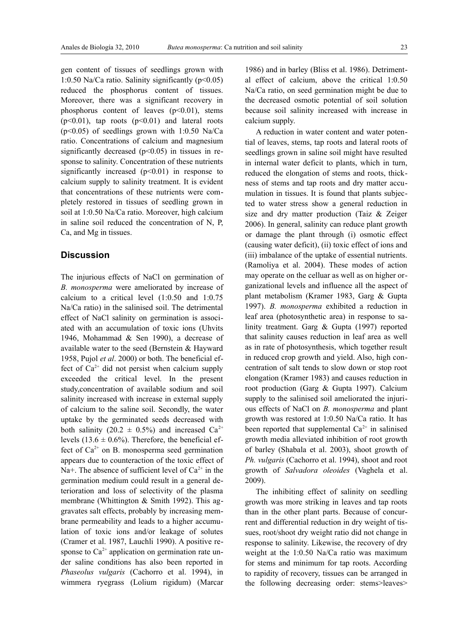gen content of tissues of seedlings grown with 1:0.50 Na/Ca ratio. Salinity significantly  $(p<0.05)$ reduced the phosphorus content of tissues. Moreover, there was a significant recovery in phosphorus content of leaves  $(p<0.01)$ , stems  $(p<0.01)$ , tap roots  $(p<0.01)$  and lateral roots  $(p<0.05)$  of seedlings grown with 1:0.50 Na/Ca ratio. Concentrations of calcium and magnesium significantly decreased  $(p<0.05)$  in tissues in response to salinity. Concentration of these nutrients significantly increased  $(p<0.01)$  in response to calcium supply to salinity treatment. It is evident that concentrations of these nutrients were completely restored in tissues of seedling grown in soil at 1:0.50 Na/Ca ratio. Moreover, high calcium in saline soil reduced the concentration of N, P, Ca, and Mg in tissues.

# **Discussion**

The injurious effects of NaCl on germination of *B. monosperma* were ameliorated by increase of calcium to a critical level (1:0.50 and 1:0.75 Na/Ca ratio) in the salinised soil. The detrimental effect of NaCl salinity on germination is associated with an accumulation of toxic ions (Uhvits 1946, Mohammad & Sen 1990), a decrease of available water to the seed (Bernstein & Hayward 1958, Pujol *et al*. 2000) or both. The beneficial effect of  $Ca^{2+}$  did not persist when calcium supply exceeded the critical level. In the present study,concentration of available sodium and soil salinity increased with increase in external supply of calcium to the saline soil. Secondly, the water uptake by the germinated seeds decreased with both salinity (20.2  $\pm$  0.5%) and increased Ca<sup>2+</sup> levels  $(13.6 \pm 0.6\%)$ . Therefore, the beneficial effect of  $Ca^{2+}$  on B. monosperma seed germination appears due to counteraction of the toxic effect of Na+. The absence of sufficient level of  $Ca^{2+}$  in the germination medium could result in a general deterioration and loss of selectivity of the plasma membrane (Whittington & Smith 1992). This aggravates salt effects, probably by increasing membrane permeability and leads to a higher accumulation of toxic ions and/or leakage of solutes (Cramer et al. 1987, Lauchli 1990). A positive response to  $Ca^{2+}$  application on germination rate under saline conditions has also been reported in *Phaseolus vulgaris* (Cachorro et al. 1994), in wimmera ryegrass (Lolium rigidum) (Marcar

1986) and in barley (Bliss et al. 1986). Detrimental effect of calcium, above the critical 1:0.50 Na/Ca ratio, on seed germination might be due to the decreased osmotic potential of soil solution because soil salinity increased with increase in calcium supply.

A reduction in water content and water potential of leaves, stems, tap roots and lateral roots of seedlings grown in saline soil might have resulted in internal water deficit to plants, which in turn, reduced the elongation of stems and roots, thickness of stems and tap roots and dry matter accumulation in tissues. It is found that plants subjected to water stress show a general reduction in size and dry matter production (Taiz & Zeiger 2006). In general, salinity can reduce plant growth or damage the plant through (i) osmotic effect (causing water deficit), (ii) toxic effect of ions and (iii) imbalance of the uptake of essential nutrients. (Ramoliya et al. 2004). These modes of action may operate on the celluar as well as on higher organizational levels and influence all the aspect of plant metabolism (Kramer 1983, Garg & Gupta 1997). *B. monosperma* exhibited a reduction in leaf area (photosynthetic area) in response to salinity treatment. Garg & Gupta (1997) reported that salinity causes reduction in leaf area as well as in rate of photosynthesis, which together result in reduced crop growth and yield. Also, high concentration of salt tends to slow down or stop root elongation (Kramer 1983) and causes reduction in root production (Garg & Gupta 1997). Calcium supply to the salinised soil ameliorated the injurious effects of NaCl on *B. monosperma* and plant growth was restored at 1:0.50 Na/Ca ratio. It has been reported that supplemental  $Ca^{2+}$  in salinised growth media alleviated inhibition of root growth of barley (Shabala et al. 2003), shoot growth of *Ph. vulgaris* (Cachorro et al. 1994), shoot and root growth of *Salvadora oleoides* (Vaghela et al. 2009).

The inhibiting effect of salinity on seedling growth was more striking in leaves and tap roots than in the other plant parts. Because of concurrent and differential reduction in dry weight of tissues, root/shoot dry weight ratio did not change in response to salinity. Likewise, the recovery of dry weight at the 1:0.50 Na/Ca ratio was maximum for stems and minimum for tap roots. According to rapidity of recovery, tissues can be arranged in the following decreasing order: stems>leaves>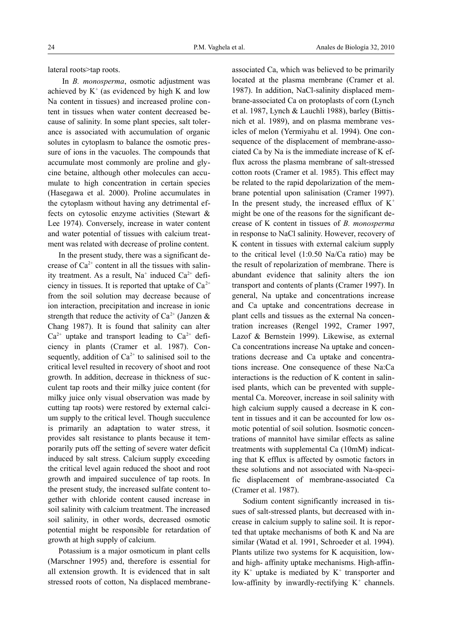lateral roots>tap roots.

 In *B. monosperma*, osmotic adjustment was achieved by  $K^+$  (as evidenced by high K and low Na content in tissues) and increased proline content in tissues when water content decreased because of salinity. In some plant species, salt tolerance is associated with accumulation of organic solutes in cytoplasm to balance the osmotic pressure of ions in the vacuoles. The compounds that accumulate most commonly are proline and glycine betaine, although other molecules can accumulate to high concentration in certain species (Hasegawa et al. 2000). Proline accumulates in the cytoplasm without having any detrimental effects on cytosolic enzyme activities (Stewart & Lee 1974). Conversely, increase in water content and water potential of tissues with calcium treatment was related with decrease of proline content.

In the present study, there was a significant decrease of  $Ca^{2+}$  content in all the tissues with salinity treatment. As a result,  $Na^+$  induced  $Ca^{2+}$  deficiency in tissues. It is reported that uptake of  $Ca^{2+}$ from the soil solution may decrease because of ion interaction, precipitation and increase in ionic strength that reduce the activity of  $Ca^{2+}$  (Janzen & Chang 1987). It is found that salinity can alter  $Ca^{2+}$  uptake and transport leading to  $Ca^{2+}$  deficiency in plants (Cramer et al. 1987). Consequently, addition of  $Ca^{2+}$  to salinised soil to the critical level resulted in recovery of shoot and root growth. In addition, decrease in thickness of succulent tap roots and their milky juice content (for milky juice only visual observation was made by cutting tap roots) were restored by external calcium supply to the critical level. Though succulence is primarily an adaptation to water stress, it provides salt resistance to plants because it temporarily puts off the setting of severe water deficit induced by salt stress. Calcium supply exceeding the critical level again reduced the shoot and root growth and impaired succulence of tap roots. In the present study, the increased sulfate content together with chloride content caused increase in soil salinity with calcium treatment. The increased soil salinity, in other words, decreased osmotic potential might be responsible for retardation of growth at high supply of calcium.

Potassium is a major osmoticum in plant cells (Marschner 1995) and, therefore is essential for all extension growth. It is evidenced that in salt stressed roots of cotton, Na displaced membrane-

associated Ca, which was believed to be primarily located at the plasma membrane (Cramer et al. 1987). In addition, NaCl-salinity displaced membrane-associated Ca on protoplasts of corn (Lynch et al. 1987, Lynch & Lauchli 1988), barley (Bittisnich et al. 1989), and on plasma membrane vesicles of melon (Yermiyahu et al. 1994). One consequence of the displacement of membrane-associated Ca by Na is the immediate increase of K efflux across the plasma membrane of salt-stressed cotton roots (Cramer et al. 1985). This effect may be related to the rapid depolarization of the membrane potential upon salinisation (Cramer 1997). In the present study, the increased efflux of  $K^+$ might be one of the reasons for the significant decrease of K content in tissues of *B. monosperma* in response to NaCl salinity. However, recovery of K content in tissues with external calcium supply to the critical level (1:0.50 Na/Ca ratio) may be the result of repolarization of membrane. There is abundant evidence that salinity alters the ion transport and contents of plants (Cramer 1997). In general, Na uptake and concentrations increase and Ca uptake and concentrations decrease in plant cells and tissues as the external Na concentration increases (Rengel 1992, Cramer 1997, Lazof & Bernstein 1999). Likewise, as external Ca concentrations increase Na uptake and concentrations decrease and Ca uptake and concentrations increase. One consequence of these Na:Ca interactions is the reduction of K content in salinised plants, which can be prevented with supplemental Ca. Moreover, increase in soil salinity with high calcium supply caused a decrease in K content in tissues and it can be accounted for low osmotic potential of soil solution. Isosmotic concentrations of mannitol have similar effects as saline treatments with supplemental Ca (10mM) indicating that K efflux is affected by osmotic factors in these solutions and not associated with Na-specific displacement of membrane-associated Ca (Cramer et al. 1987).

Sodium content significantly increased in tissues of salt-stressed plants, but decreased with increase in calcium supply to saline soil. It is reported that uptake mechanisms of both K and Na are similar (Watad et al. 1991, Schroeder et al. 1994). Plants utilize two systems for K acquisition, lowand high- affinity uptake mechanisms. High-affinity  $K^+$  uptake is mediated by  $K^+$  transporter and low-affinity by inwardly-rectifying  $K^+$  channels.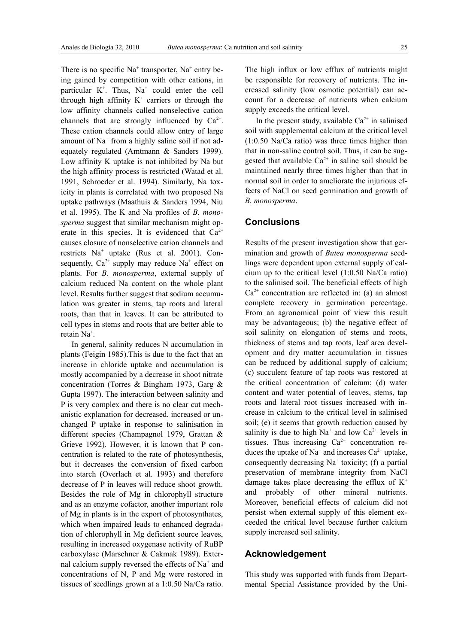There is no specific  $Na^+$  transporter,  $Na^+$  entry being gained by competition with other cations, in particular  $K^+$ . Thus,  $Na^+$  could enter the cell through high affinity  $K^+$  carriers or through the low affinity channels called nonselective cation channels that are strongly influenced by  $Ca^{2+}$ . These cation channels could allow entry of large amount of Na<sup>+</sup> from a highly saline soil if not adequately regulated (Amtmann & Sanders 1999). Low affinity K uptake is not inhibited by Na but the high affinity process is restricted (Watad et al. 1991, Schroeder et al. 1994). Similarly, Na toxicity in plants is correlated with two proposed Na uptake pathways (Maathuis & Sanders 1994, Niu et al. 1995). The K and Na profiles of *B. monosperma* suggest that similar mechanism might operate in this species. It is evidenced that  $Ca^{2+}$ causes closure of nonselective cation channels and restricts Na<sup>+</sup> uptake (Rus et al. 2001). Consequently,  $Ca^{2+}$  supply may reduce Na<sup>+</sup> effect on plants. For *B. monosperma*, external supply of calcium reduced Na content on the whole plant level. Results further suggest that sodium accumulation was greater in stems, tap roots and lateral roots, than that in leaves. It can be attributed to cell types in stems and roots that are better able to retain Na<sup>+</sup>.

In general, salinity reduces N accumulation in plants (Feigin 1985).This is due to the fact that an increase in chloride uptake and accumulation is mostly accompanied by a decrease in shoot nitrate concentration (Torres & Bingham 1973, Garg & Gupta 1997). The interaction between salinity and P is very complex and there is no clear cut mechanistic explanation for decreased, increased or unchanged P uptake in response to salinisation in different species (Champagnol 1979, Grattan & Grieve 1992). However, it is known that P concentration is related to the rate of photosynthesis, but it decreases the conversion of fixed carbon into starch (Overlach et al. 1993) and therefore decrease of P in leaves will reduce shoot growth. Besides the role of Mg in chlorophyll structure and as an enzyme cofactor, another important role of Mg in plants is in the export of photosynthates, which when impaired leads to enhanced degradation of chlorophyll in Mg deficient source leaves, resulting in increased oxygenase activity of RuBP carboxylase (Marschner & Cakmak 1989). External calcium supply reversed the effects of  $Na<sup>+</sup>$  and concentrations of N, P and Mg were restored in tissues of seedlings grown at a 1:0.50 Na/Ca ratio. The high influx or low efflux of nutrients might be responsible for recovery of nutrients. The increased salinity (low osmotic potential) can account for a decrease of nutrients when calcium supply exceeds the critical level.

In the present study, available  $Ca^{2+}$  in salinised soil with supplemental calcium at the critical level (1:0.50 Na/Ca ratio) was three times higher than that in non-saline control soil. Thus, it can be suggested that available  $Ca^{2+}$  in saline soil should be maintained nearly three times higher than that in normal soil in order to ameliorate the injurious effects of NaCl on seed germination and growth of *B. monosperma*.

# **Conclusions**

Results of the present investigation show that germination and growth of *Butea monosperma* seedlings were dependent upon external supply of calcium up to the critical level (1:0.50 Na/Ca ratio) to the salinised soil. The beneficial effects of high  $Ca<sup>2+</sup>$  concentration are reflected in: (a) an almost complete recovery in germination percentage. From an agronomical point of view this result may be advantageous; (b) the negative effect of soil salinity on elongation of stems and roots, thickness of stems and tap roots, leaf area development and dry matter accumulation in tissues can be reduced by additional supply of calcium; (c) succulent feature of tap roots was restored at the critical concentration of calcium; (d) water content and water potential of leaves, stems, tap roots and lateral root tissues increased with increase in calcium to the critical level in salinised soil; (e) it seems that growth reduction caused by salinity is due to high Na<sup>+</sup> and low  $Ca^{2+}$  levels in tissues. Thus increasing  $Ca^{2+}$  concentration reduces the uptake of Na<sup>+</sup> and increases  $Ca^{2+}$  uptake, consequently decreasing  $Na<sup>+</sup>$  toxicity; (f) a partial preservation of membrane integrity from NaCl damage takes place decreasing the efflux of  $K^+$ and probably of other mineral nutrients. Moreover, beneficial effects of calcium did not persist when external supply of this element exceeded the critical level because further calcium supply increased soil salinity.

## **Acknowledgement**

This study was supported with funds from Departmental Special Assistance provided by the Uni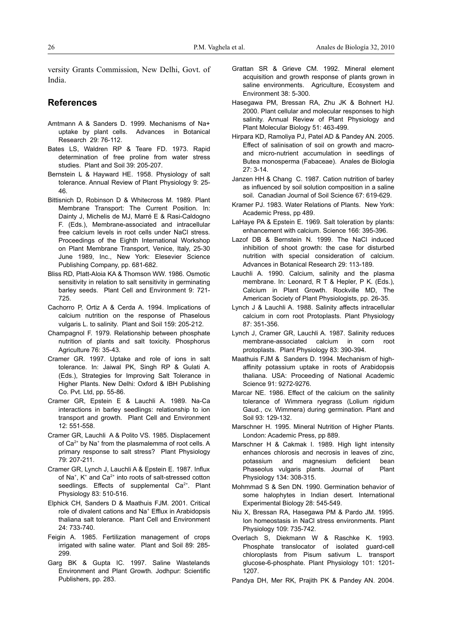versity Grants Commission, New Delhi, Govt. of India.

# **References**

- Amtmann A & Sanders D. 1999. Mechanisms of Na+ uptake by plant cells. Advances in Botanical Research 29: 76-112.
- Bates LS, Waldren RP & Teare FD. 1973. Rapid determination of free proline from water stress studies. Plant and Soil 39: 205-207.
- Bernstein L & Hayward HE. 1958. Physiology of salt tolerance. Annual Review of Plant Physiology 9: 25- 46.
- Bittisnich D, Robinson D & Whitecross M. 1989. Plant Membrane Transport: The Current Position. In: Dainty J, Michelis de MJ, Marré E & Rasi-Caldogno F. (Eds.), Membrane-associated and intracellular free calcium levels in root cells under NaCl stress. Proceedings of the Eighth International Workshop on Plant Membrane Transport, Venice, Italy, 25-30 June 1989, Inc., New York: Elesevier Science Publishing Company, pp. 681-682.
- Bliss RD, Platt-Aloia KA & Thomson WW. 1986. Osmotic sensitivity in relation to salt sensitivity in germinating barley seeds. Plant Cell and Environment 9: 721- 725.
- Cachorro P, Ortiz A & Cerda A. 1994. Implications of calcium nutrition on the response of Phaselous vulgaris L. to salinity. Plant and Soil 159: 205-212.
- Champagnol F. 1979. Relationship between phosphate nutrition of plants and salt toxicity. Phosphorus Agriculture 76: 35-43.
- Cramer GR. 1997. Uptake and role of ions in salt tolerance. In: Jaiwal PK, Singh RP & Gulati A. (Eds.), Strategies for Improving Salt Tolerance in Higher Plants. New Delhi: Oxford & IBH Publishing Co. Pvt. Ltd, pp. 55-86.
- Cramer GR, Epstein E & Lauchli A. 1989. Na-Ca interactions in barley seedlings: relationship to ion transport and growth. Plant Cell and Environment 12: 551-558.
- Cramer GR, Lauchli A & Polito VS. 1985. Displacement of  $Ca<sup>2+</sup>$  by Na<sup>+</sup> from the plasmalemma of root cells. A primary response to salt stress? Plant Physiology 79: 207-211.
- Cramer GR, Lynch J, Lauchli A & Epstein E. 1987. Influx of Na<sup>+</sup>, K<sup>+</sup> and Ca<sup>2+</sup> into roots of salt-stressed cotton seedlings. Effects of supplemental Ca<sup>2+</sup>. Plant Physiology 83: 510-516.
- Elphick CH, Sanders D & Maathuis FJM. 2001. Critical role of divalent cations and Na<sup>+</sup> Efflux in Arabidopsis thaliana salt tolerance. Plant Cell and Environment 24: 733-740.
- Feigin A. 1985. Fertilization management of crops irrigated with saline water. Plant and Soil 89: 285- 299.
- Garg BK & Gupta IC. 1997. Saline Wastelands Environment and Plant Growth. Jodhpur: Scientific Publishers, pp. 283.
- Grattan SR & Grieve CM. 1992. Mineral element acquisition and growth response of plants grown in saline environments. Agriculture, Ecosystem and Environment 38: 5-300.
- Hasegawa PM, Bressan RA, Zhu JK & Bohnert HJ. 2000. Plant cellular and molecular responses to high salinity. Annual Review of Plant Physiology and Plant Molecular Biology 51: 463-499.
- Hirpara KD, Ramoliya PJ, Patel AD & Pandey AN. 2005. Effect of salinisation of soil on growth and macroand micro-nutrient accumulation in seedlings of Butea monosperma (Fabaceae). Anales de Biologia 27: 3-14.
- Janzen HH & Chang C. 1987. Cation nutrition of barley as influenced by soil solution composition in a saline soil. Canadian Journal of Soil Science 67: 619-629.
- Kramer PJ. 1983. Water Relations of Plants. New York: Academic Press, pp 489.
- LaHaye PA & Epstein E. 1969. Salt toleration by plants: enhancement with calcium. Science 166: 395-396.
- Lazof DB & Bernstein N. 1999. The NaCl induced inhibition of shoot growth: the case for disturbed nutrition with special consideration of calcium. Advances in Botanical Research 29: 113-189.
- Lauchli A. 1990. Calcium, salinity and the plasma membrane. In: Leonard, R T & Hepler, P K. (Eds.), Calcium in Plant Growth. Rockville MD, The American Society of Plant Physiologists, pp. 26-35.
- Lynch J & Lauchli A. 1988. Salinity affects intracellular calcium in corn root Protoplasts. Plant Physiology 87: 351-356.
- Lynch J, Cramer GR, Lauchli A. 1987. Salinity reduces membrane-associated calcium in corn root protoplasts. Plant Physiology 83: 390-394.
- Maathuis FJM & Sanders D. 1994. Mechanism of highaffinity potassium uptake in roots of Arabidopsis thaliana. USA: Proceeding of National Academic Science 91: 9272-9276.
- Marcar NE. 1986. Effect of the calcium on the salinity tolerance of Wimmera ryegrass (Lolium rigidum Gaud., cv. Wimmera) during germination. Plant and Soil 93: 129-132.
- Marschner H. 1995. Mineral Nutrition of Higher Plants. London: Academic Press, pp 889.
- Marschner H & Cakmak I. 1989. High light intensity enhances chlorosis and necrosis in leaves of zinc, potassium and magnesium deficient bean Phaseolus vulgaris plants. Journal of Plant Physiology 134: 308-315.
- Mohmmad S & Sen DN. 1990. Germination behavior of some halophytes in Indian desert. International Experimental Biology 28: 545-549.
- Niu X, Bressan RA, Hasegawa PM & Pardo JM. 1995. Ion homeostasis in NaCl stress environments. Plant Physiology 109: 735-742.
- Overlach S, Diekmann W & Raschke K. 1993. Phosphate translocator of isolated guard-cell chloroplasts from Pisum sativum L. transport glucose-6-phosphate. Plant Physiology 101: 1201- 1207.
- Pandya DH, Mer RK, Prajith PK & Pandey AN. 2004.